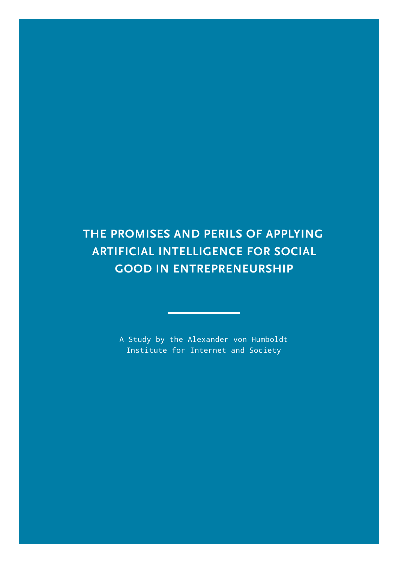# **THE PROMISES AND PERILS OF APPLYING ARTIFICIAL INTELLIGENCE FOR SOCIAL GOOD IN ENTREPRENEURSHIP**

A Study by the Alexander von Humboldt Institute for Internet and Society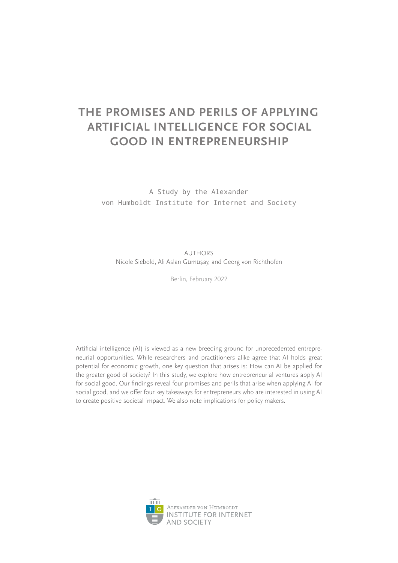# **THE PROMISES AND PERILS OF APPLYING ARTIFICIAL INTELLIGENCE FOR SOCIAL GOOD IN ENTREPRENEURSHIP**

A Study by the Alexander von Humboldt Institute for Internet and Society

AUTHORS Nicole Siebold, Ali Aslan Gümüsay, and Georg von Richthofen ,

Berlin, February 2022

Artificial intelligence (AI) is viewed as a new breeding ground for unprecedented entrepreneurial opportunities. While researchers and practitioners alike agree that AI holds great potential for economic growth, one key question that arises is: How can AI be applied for the greater good of society? In this study, we explore how entrepreneurial ventures apply AI for social good. Our findings reveal four promises and perils that arise when applying AI for social good, and we offer four key takeaways for entrepreneurs who are interested in using AI to create positive societal impact. We also note implications for policy makers.

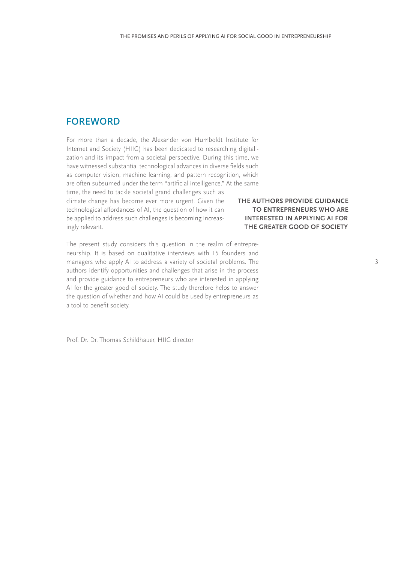# <span id="page-2-0"></span>**FOREWORD**

For more than a decade, the Alexander von Humboldt Institute for Internet and Society (HIIG) has been dedicated to researching digitalization and its impact from a societal perspective. During this time, we have witnessed substantial technological advances in diverse fields such as computer vision, machine learning, and pattern recognition, which are often subsumed under the term "artificial intelligence." At the same time, the need to tackle societal grand challenges such as climate change has become ever more urgent. Given the technological affordances of AI, the question of how it can be applied to address such challenges is becoming increasingly relevant.

The present study considers this question in the realm of entrepreneurship. It is based on qualitative interviews with 15 founders and managers who apply AI to address a variety of societal problems. The authors identify opportunities and challenges that arise in the process and provide guidance to entrepreneurs who are interested in applying AI for the greater good of society. The study therefore helps to answer the question of whether and how AI could be used by entrepreneurs as a tool to benefit society.

Prof. Dr. Dr. Thomas Schildhauer, HIIG director

## **THE AUTHORS PROVIDE GUIDANCE TO ENTREPRENEURS WHO ARE INTERESTED IN APPLYING AI FOR THE GREATER GOOD OF SOCIETY**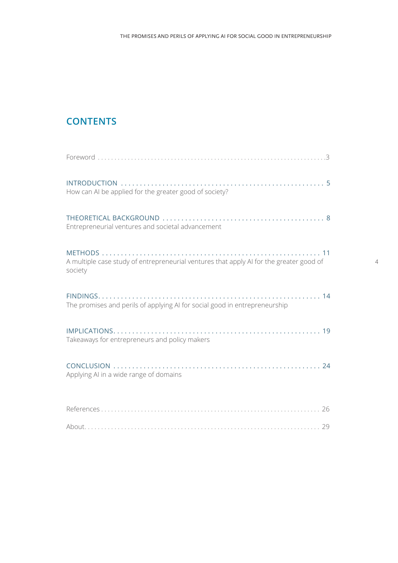# **CONTENTS**

| How can AI be applied for the greater good of society?                                             |
|----------------------------------------------------------------------------------------------------|
| Entrepreneurial ventures and societal advancement                                                  |
| A multiple case study of entrepreneurial ventures that apply AI for the greater good of<br>society |
| The promises and perils of applying AI for social good in entrepreneurship                         |
| Takeaways for entrepreneurs and policy makers                                                      |
| Applying AI in a wide range of domains                                                             |
|                                                                                                    |
|                                                                                                    |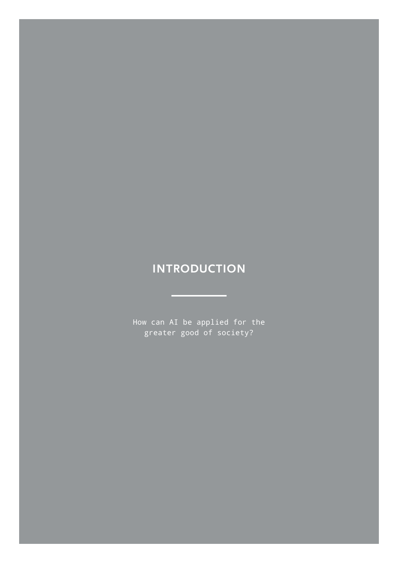# <span id="page-4-0"></span>**INTRODUCTION**

How can AI be applied for the greater good of society?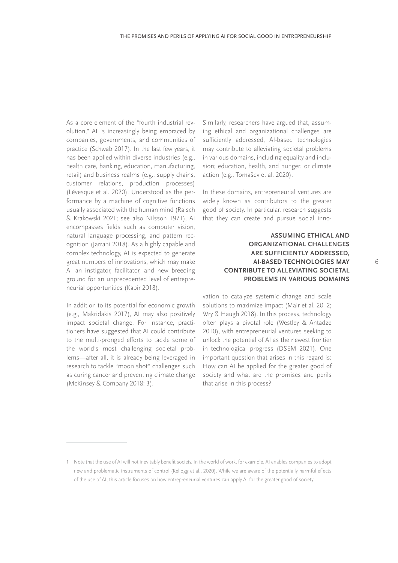As a core element of the "fourth industrial revolution," AI is increasingly being embraced by companies, governments, and communities of practice (Schwab 2017). In the last few years, it has been applied within diverse industries (e.g., health care, banking, education, manufacturing, retail) and business realms (e.g., supply chains, customer relations, production processes) (Lévesque et al. 2020). Understood as the performance by a machine of cognitive functions usually associated with the human mind (Raisch & Krakowski 2021; see also Nilsson 1971), AI encompasses fields such as computer vision, natural language processing, and pattern recognition (Jarrahi 2018). As a highly capable and complex technology, AI is expected to generate great numbers of innovations, which may make AI an instigator, facilitator, and new breeding ground for an unprecedented level of entrepreneurial opportunities (Kabir 2018).

In addition to its potential for economic growth (e.g., Makridakis 2017), AI may also positively impact societal change. For instance, practitioners have suggested that AI could contribute to the multi-pronged efforts to tackle some of the world's most challenging societal problems—after all, it is already being leveraged in research to tackle "moon shot" challenges such as curing cancer and preventing climate change (McKinsey & Company 2018: 3).

Similarly, researchers have argued that, assuming ethical and organizational challenges are sufficiently addressed, AI-based technologies may contribute to alleviating societal problems in various domains, including equality and inclusion; education, health, and hunger; or climate action (e.g., Tomašev et al. 2020).<sup>1</sup>

In these domains, entrepreneurial ventures are widely known as contributors to the greater good of society. In particular, research suggests that they can create and pursue social inno-

### **ASSUMING ETHICAL AND ORGANIZATIONAL CHALLENGES ARE SUFFICIENTLY ADDRESSED, AI-BASED TECHNOLOGIES MAY CONTRIBUTE TO ALLEVIATING SOCIETAL PROBLEMS IN VARIOUS DOMAINS**

vation to catalyze systemic change and scale solutions to maximize impact (Mair et al. 2012; Wry & Haugh 2018). In this process, technology often plays a pivotal role (Westley & Antadze 2010), with entrepreneurial ventures seeking to unlock the potential of AI as the newest frontier in technological progress (DSEM 2021). One important question that arises in this regard is: How can AI be applied for the greater good of society and what are the promises and perils that arise in this process?

<sup>1</sup> Note that the use of AI will not inevitably benefit society. In the world of work, for example, AI enables companies to adopt new and problematic instruments of control (Kellogg et al., 2020). While we are aware of the potentially harmful effects of the use of AI, this article focuses on how entrepreneurial ventures can apply AI for the greater good of society.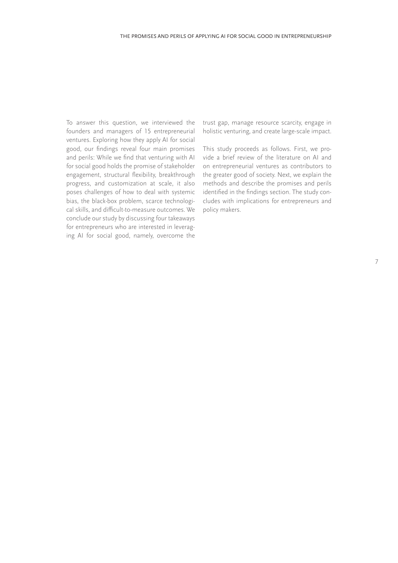To answer this question, we interviewed the founders and managers of 15 entrepreneurial ventures. Exploring how they apply AI for social good, our findings reveal four main promises and perils: While we find that venturing with AI for social good holds the promise of stakeholder engagement, structural flexibility, breakthrough progress, and customization at scale, it also poses challenges of how to deal with systemic bias, the black-box problem, scarce technological skills, and difficult-to-measure outcomes. We conclude our study by discussing four takeaways for entrepreneurs who are interested in leveraging AI for social good, namely, overcome the

trust gap, manage resource scarcity, engage in holistic venturing, and create large-scale impact.

This study proceeds as follows. First, we provide a brief review of the literature on AI and on entrepreneurial ventures as contributors to the greater good of society. Next, we explain the methods and describe the promises and perils identified in the findings section. The study concludes with implications for entrepreneurs and policy makers.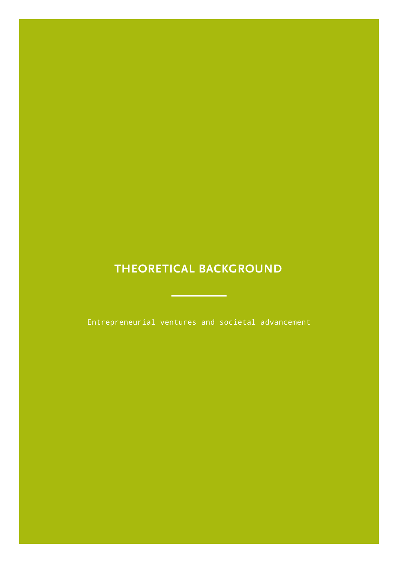# <span id="page-7-0"></span>**THEORETICAL BACKGROUND**

Entrepreneurial ventures and societal advancement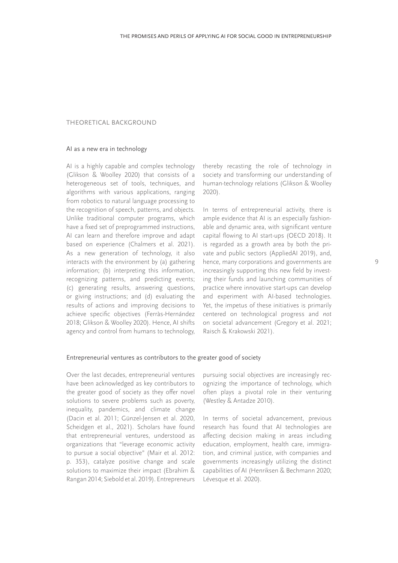## THEORETICAL BACKGROUND

#### AI as a new era in technology

AI is a highly capable and complex technology (Glikson & Woolley 2020) that consists of a heterogeneous set of tools, techniques, and algorithms with various applications, ranging from robotics to natural language processing to the recognition of speech, patterns, and objects. Unlike traditional computer programs, which have a fixed set of preprogrammed instructions, AI can learn and therefore improve and adapt based on experience (Chalmers et al. 2021). As a new generation of technology, it also interacts with the environment by (a) gathering information; (b) interpreting this information, recognizing patterns, and predicting events; (c) generating results, answering questions, or giving instructions; and (d) evaluating the results of actions and improving decisions to achieve specific objectives (Ferràs-Hernández 2018; Glikson & Woolley 2020). Hence, AI shifts agency and control from humans to technology,

thereby recasting the role of technology in society and transforming our understanding of human-technology relations (Glikson & Woolley 2020).

In terms of entrepreneurial activity, there is ample evidence that AI is an especially fashionable and dynamic area, with significant venture capital flowing to AI start-ups (OECD 2018). It is regarded as a growth area by both the private and public sectors (AppliedAI 2019), and, hence, many corporations and governments are increasingly supporting this new field by investing their funds and launching communities of practice where innovative start-ups can develop and experiment with AI-based technologies. Yet, the impetus of these initiatives is primarily centered on technological progress and *not* on societal advancement (Gregory et al. 2021; Raisch & Krakowski 2021).

#### Entrepreneurial ventures as contributors to the greater good of society

Over the last decades, entrepreneurial ventures have been acknowledged as key contributors to the greater good of society as they offer novel solutions to severe problems such as poverty, inequality, pandemics, and climate change (Dacin et al. 2011; Günzel-Jensen et al. 2020, Scheidgen et al., 2021). Scholars have found that entrepreneurial ventures, understood as organizations that "leverage economic activity to pursue a social objective" (Mair et al. 2012: p. 353), catalyze positive change and scale solutions to maximize their impact (Ebrahim & Rangan 2014; Siebold et al. 2019). Entrepreneurs

pursuing social objectives are increasingly recognizing the importance of technology, which often plays a pivotal role in their venturing (Westley & Antadze 2010).

In terms of societal advancement, previous research has found that AI technologies are affecting decision making in areas including education, employment, health care, immigration, and criminal justice, with companies and governments increasingly utilizing the distinct capabilities of AI (Henriksen & Bechmann 2020; Lévesque et al. 2020).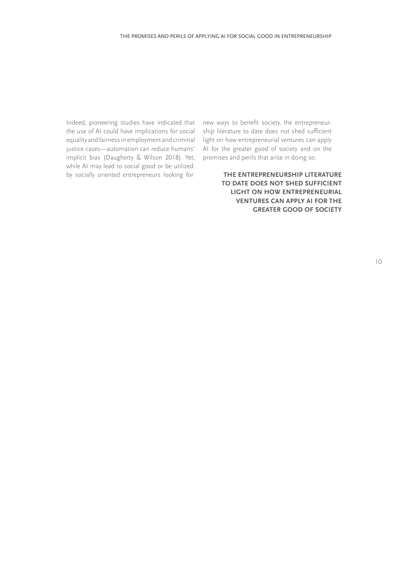Indeed, pioneering studies have indicated that the use of AI could have implications for social equality and fairness in employment and criminal justice cases—automation can reduce humans' implicit bias (Daugherty & Wilson 2018). Yet, while AI may lead to social good or be utilized by socially oriented entrepreneurs looking for

new ways to benefit society, the entrepreneurship literature to date does not shed sufficient light on how entrepreneurial ventures can apply AI for the greater good of society and on the promises and perils that arise in doing so.

> **THE ENTREPRENEURSHIP LITERATURE TO DATE DOES NOT SHED SUFFICIENT LIGHT ON HOW ENTREPRENEURIAL VENTURES CAN APPLY AI FOR THE GREATER GOOD OF SOCIETY**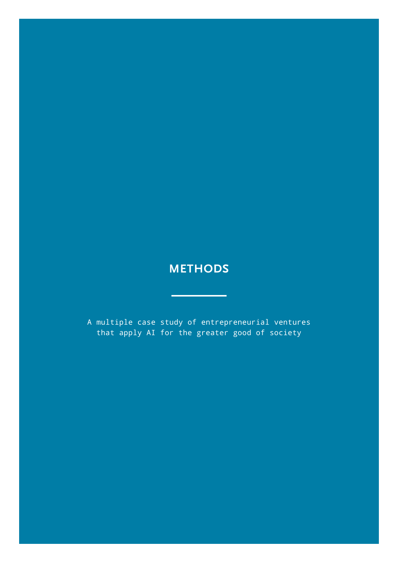# <span id="page-10-0"></span>**METHODS**

÷,

A multiple case study of entrepreneurial ventures that apply AI for the greater good of society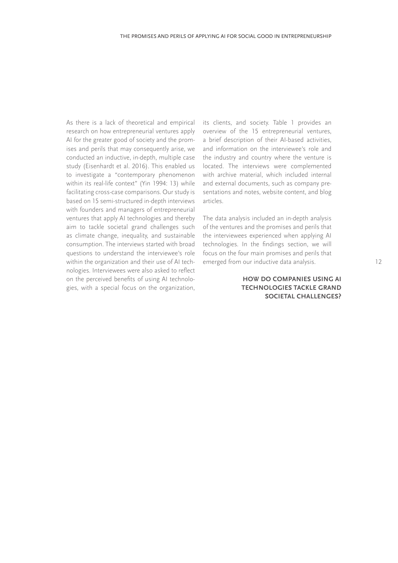As there is a lack of theoretical and empirical research on how entrepreneurial ventures apply AI for the greater good of society and the promises and perils that may consequently arise, we conducted an inductive, in-depth, multiple case study (Eisenhardt et al. 2016). This enabled us to investigate a "contemporary phenomenon within its real-life context" (Yin 1994: 13) while facilitating cross-case comparisons. Our study is based on 15 semi-structured in-depth interviews with founders and managers of entrepreneurial ventures that apply AI technologies and thereby aim to tackle societal grand challenges such as climate change, inequality, and sustainable consumption. The interviews started with broad questions to understand the interviewee's role within the organization and their use of AI technologies. Interviewees were also asked to reflect on the perceived benefits of using AI technologies, with a special focus on the organization,

its clients, and society. Table 1 provides an overview of the 15 entrepreneurial ventures, a brief description of their AI-based activities, and information on the interviewee's role and the industry and country where the venture is located. The interviews were complemented with archive material, which included internal and external documents, such as company presentations and notes, website content, and blog articles.

The data analysis included an in-depth analysis of the ventures and the promises and perils that the interviewees experienced when applying AI technologies. In the findings section, we will focus on the four main promises and perils that emerged from our inductive data analysis.

### **HOW DO COMPANIES USING AI TECHNOLOGIES TACKLE GRAND SOCIETAL CHALLENGES?**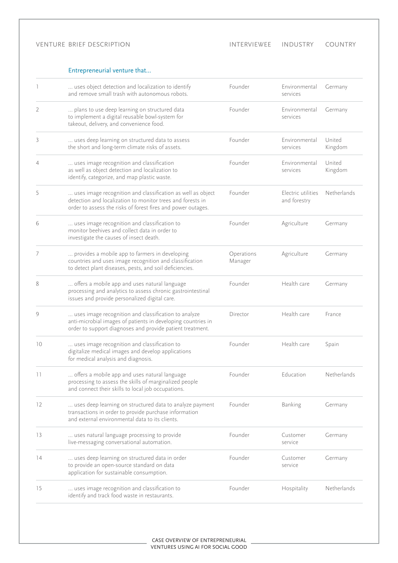### VENTURE BRIEF DESCRIPTION

## Entrepreneurial venture that…

|    | uses object detection and localization to identify<br>and remove small trash with autonomous robots.                                                                                      | Founder               | Environmental<br>services          | Germany           |
|----|-------------------------------------------------------------------------------------------------------------------------------------------------------------------------------------------|-----------------------|------------------------------------|-------------------|
| 2  | plans to use deep learning on structured data<br>to implement a digital reusable bowl-system for<br>takeout, delivery, and convenience food.                                              | Founder               | Environmental<br>services          | Germany           |
| 3  | uses deep learning on structured data to assess<br>the short and long-term climate risks of assets.                                                                                       | Founder               | Environmental<br>services          | United<br>Kingdom |
| 4  | uses image recognition and classification<br>as well as object detection and localization to<br>identify, categorize, and map plastic waste.                                              | Founder               | Environmental<br>services          | United<br>Kingdom |
| 5  | uses image recognition and classification as well as object<br>detection and localization to monitor trees and forests in<br>order to assess the risks of forest fires and power outages. | Founder               | Electric utilities<br>and forestry | Netherlands       |
| 6  | uses image recognition and classification to<br>monitor beehives and collect data in order to<br>investigate the causes of insect death.                                                  | Founder               | Agriculture                        | Germany           |
| 7  | provides a mobile app to farmers in developing<br>countries and uses image recognition and classification<br>to detect plant diseases, pests, and soil deficiencies.                      | Operations<br>Manager | Agriculture                        | Germany           |
| 8  | offers a mobile app and uses natural language<br>processing and analytics to assess chronic gastrointestinal<br>issues and provide personalized digital care.                             | Founder               | Health care                        | Germany           |
| 9  | uses image recognition and classification to analyze<br>anti-microbial images of patients in developing countries in<br>order to support diagnoses and provide patient treatment.         | Director              | Health care                        | France            |
| 10 | uses image recognition and classification to<br>digitalize medical images and develop applications<br>for medical analysis and diagnosis.                                                 | Founder               | Health care                        | Spain             |
| 11 | offers a mobile app and uses natural language<br>processing to assess the skills of marginalized people<br>and connect their skills to local job occupations.                             | Founder               | Education                          | Netherlands       |
| 12 | uses deep learning on structured data to analyze payment<br>transactions in order to provide purchase information<br>and external environmental data to its clients.                      | Founder               | Banking                            | Germany           |
| 13 | uses natural language processing to provide<br>live-messaging conversational automation.                                                                                                  | Founder               | Customer<br>service                | Germany           |
| 14 | uses deep learning on structured data in order<br>to provide an open-source standard on data<br>application for sustainable consumption.                                                  | Founder               | Customer<br>service                | Germany           |
| 15 | uses image recognition and classification to<br>identify and track food waste in restaurants.                                                                                             | Founder               | Hospitality                        | Netherlands       |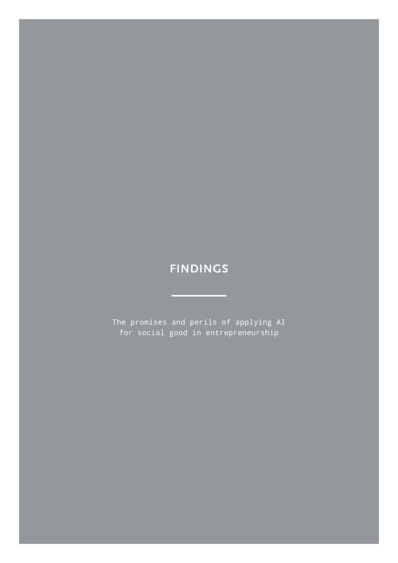# <span id="page-13-0"></span>**FINDINGS**

<u> Liberature</u>

The promises and perils of applying AI for social good in entrepreneurship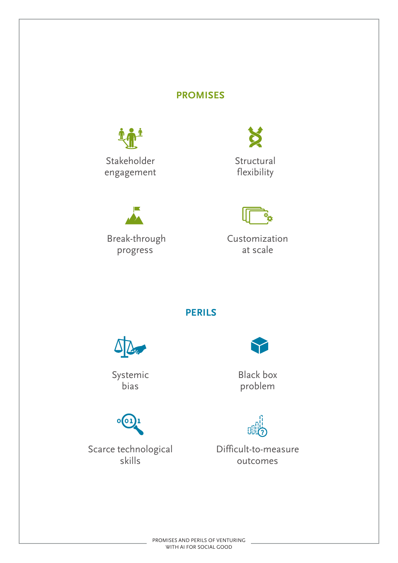# **PROMISES**





Break-through progress





Customization at scale

**PERILS**



Systemic bias



Scarce technological skills



Black box problem



Difficult-to-measure outcomes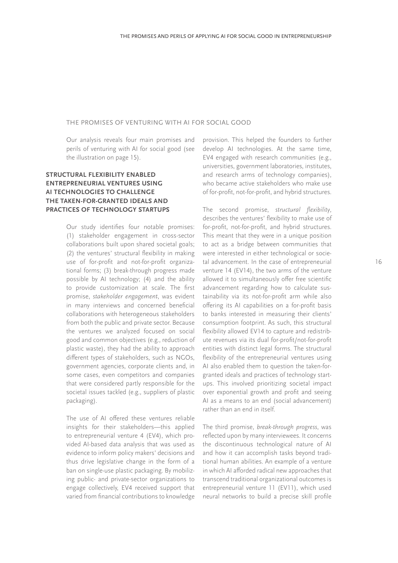### THE PROMISES OF VENTURING WITH AI FOR SOCIAL GOOD

Our analysis reveals four main promises and perils of venturing with AI for social good (see the illustration on page 15).

## **STRUCTURAL FLEXIBILITY ENABLED ENTREPRENEURIAL VENTURES USING AI TECHNOLOGIES TO CHALLENGE THE TAKEN-FOR-GRANTED IDEALS AND PRACTICES OF TECHNOLOGY STARTUPS**

Our study identifies four notable promises: (1) stakeholder engagement in cross-sector collaborations built upon shared societal goals; (2) the ventures' structural flexibility in making use of for-profit and not-for-profit organizational forms; (3) break-through progress made possible by AI technology; (4) and the ability to provide customization at scale. The first promise, *stakeholder engagement*, was evident in many interviews and concerned beneficial collaborations with heterogeneous stakeholders from both the public and private sector. Because the ventures we analyzed focused on social good and common objectives (e.g., reduction of plastic waste), they had the ability to approach different types of stakeholders, such as NGOs, government agencies, corporate clients and, in some cases, even competitors and companies that were considered partly responsible for the societal issues tackled (e.g., suppliers of plastic packaging).

The use of AI offered these ventures reliable insights for their stakeholders—this applied to entrepreneurial venture 4 (EV4), which provided AI-based data analysis that was used as evidence to inform policy makers' decisions and thus drive legislative change in the form of a ban on single-use plastic packaging. By mobilizing public- and private-sector organizations to engage collectively, EV4 received support that varied from financial contributions to knowledge

provision. This helped the founders to further develop AI technologies. At the same time, EV4 engaged with research communities (e.g., universities, government laboratories, institutes, and research arms of technology companies), who became active stakeholders who make use of for-profit, not-for-profit, and hybrid structures.

The second promise, structural flexibility, describes the ventures' flexibility to make use of for-profit, not-for-profit, and hybrid structures. This meant that they were in a unique position to act as a bridge between communities that were interested in either technological or societal advancement. In the case of entrepreneurial venture 14 (EV14), the two arms of the venture allowed it to simultaneously offer free scientific advancement regarding how to calculate sustainability via its not-for-profit arm while also offering its AI capabilities on a for-profit basis to banks interested in measuring their clients' consumption footprint. As such, this structural flexibility allowed EV14 to capture and redistribute revenues via its dual for-profit/not-for-profit entities with distinct legal forms. The structural flexibility of the entrepreneurial ventures using AI also enabled them to question the taken-forgranted ideals and practices of technology startups. This involved prioritizing societal impact over exponential growth and profit and seeing AI as a means to an end (social advancement) rather than an end in itself.

The third promise, break-through progress, was reflected upon by many interviewees. It concerns the discontinuous technological nature of AI and how it can accomplish tasks beyond traditional human abilities. An example of a venture in which AI afforded radical new approaches that transcend traditional organizational outcomes is entrepreneurial venture 11 (EV11), which used neural networks to build a precise skill profile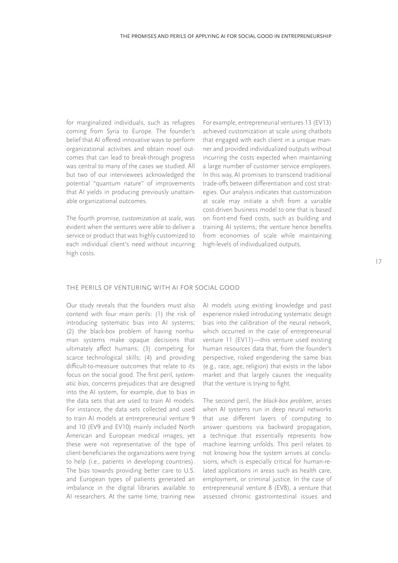for marginalized individuals, such as refugees coming from Syria to Europe. The founder's belief that AI offered innovative ways to perform organizational activities and obtain novel outcomes that can lead to break-through progress was central to many of the cases we studied. All but two of our interviewees acknowledged the potential "quantum nature" of improvements that AI yields in producing previously unattainable organizational outcomes.

The fourth promise, customization at scale, was evident when the ventures were able to deliver a service or product that was highly customized to each individual client's need without incurring high costs.

For example, entrepreneurial ventures 13 (EV13) achieved customization at scale using chatbots that engaged with each client in a unique manner and provided individualized outputs without incurring the costs expected when maintaining a large number of customer service employees. In this way, AI promises to transcend traditional trade-offs between differentiation and cost strategies. Our analysis indicates that customization at scale may initiate a shift from a variable cost-driven business model to one that is based on front-end fixed costs, such as building and training AI systems; the venture hence benefits from economies of scale while maintaining high-levels of individualized outputs.

#### THE PERILS OF VENTURING WITH AI FOR SOCIAL GOOD

Our study reveals that the founders must also contend with four main perils: (1) the risk of introducing systematic bias into AI systems; (2) the black-box problem of having nonhuman systems make opaque decisions that ultimately affect humans; (3) competing for scarce technological skills; (4) and providing difficult-to-measure outcomes that relate to its focus on the social good. The first peril, systematic bias, concerns prejudices that are designed into the AI system, for example, due to bias in the data sets that are used to train AI models. For instance, the data sets collected and used to train AI models at entrepreneurial venture 9 and 10 (EV9 and EV10) mainly included North American and European medical images, yet these were not representative of the type of client-beneficiaries the organizations were trying to help (i.e., patients in developing countries). The bias towards providing better care to U.S. and European types of patients generated an imbalance in the digital libraries available to AI researchers. At the same time, training new

AI models using existing knowledge and past experience risked introducing systematic design bias into the calibration of the neural network, which occurred in the case of entrepreneurial venture 11 (EV11)—this venture used existing human resources data that, from the founder's perspective, risked engendering the same bias (e.g., race, age, religion) that exists in the labor market and that largely causes the inequality that the venture is trying to fight.

The second peril, the black-box problem, arises when AI systems run in deep neural networks that use different layers of computing to answer questions via backward propagation, a technique that essentially represents how machine learning unfolds. This peril relates to not knowing how the system arrives at conclusions, which is especially critical for human-related applications in areas such as health care, employment, or criminal justice. In the case of entrepreneurial venture 8 (EV8), a venture that assessed chronic gastrointestinal issues and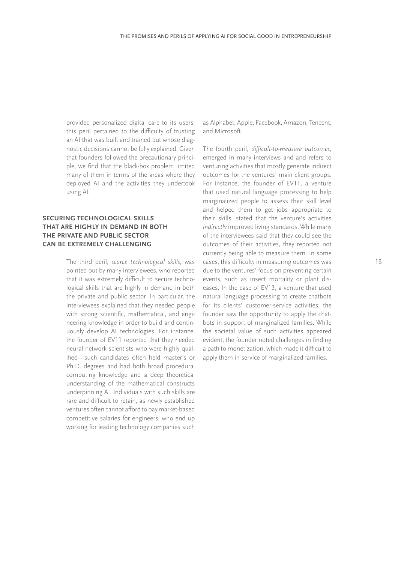provided personalized digital care to its users, this peril pertained to the difficulty of trusting an AI that was built and trained but whose diagnostic decisions cannot be fully explained. Given that founders followed the precautionary principle, we find that the black-box problem limited many of them in terms of the areas where they deployed AI and the activities they undertook using AI.

### **SECURING TECHNOLOGICAL SKILLS THAT ARE HIGHLY IN DEMAND IN BOTH THE PRIVATE AND PUBLIC SECTOR CAN BE EXTREMELY CHALLENGING**

The third peril, scarce technological skills, was pointed out by many interviewees, who reported that it was extremely difficult to secure technological skills that are highly in demand in both the private and public sector. In particular, the interviewees explained that they needed people with strong scientific, mathematical, and engineering knowledge in order to build and continuously develop AI technologies. For instance, the founder of EV11 reported that they needed neural network scientists who were highly qualified—such candidates often held master's or Ph.D. degrees and had both broad procedural computing knowledge and a deep theoretical understanding of the mathematical constructs underpinning AI. Individuals with such skills are rare and difficult to retain, as newly established ventures often cannot afford to pay market-based competitive salaries for engineers, who end up working for leading technology companies such

as Alphabet, Apple, Facebook, Amazon, Tencent, and Microsoft.

The fourth peril, difficult-to-measure outcomes, emerged in many interviews and and refers to venturing activities that mostly generate indirect outcomes for the ventures' main client groups. For instance, the founder of EV11, a venture that used natural language processing to help marginalized people to assess their skill level and helped them to get jobs appropriate to their skills, stated that the venture's activities indirectly improved living standards. While many of the interviewees said that they could see the outcomes of their activities, they reported not currently being able to measure them. In some cases, this difficulty in measuring outcomes was due to the ventures' focus on preventing certain events, such as insect mortality or plant diseases. In the case of EV13, a venture that used natural language processing to create chatbots for its clients' customer-service activities, the founder saw the opportunity to apply the chatbots in support of marginalized families. While the societal value of such activities appeared evident, the founder noted challenges in finding a path to monetization, which made it difficult to apply them in service of marginalized families.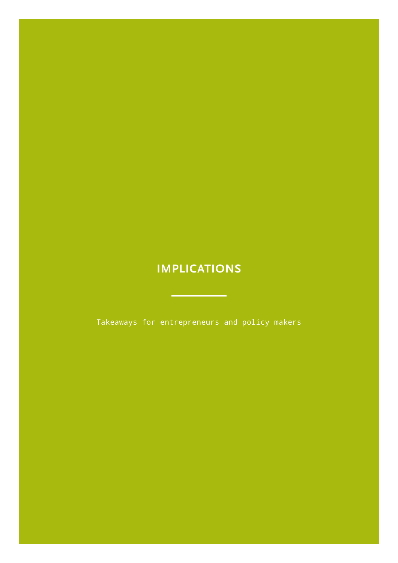# <span id="page-18-0"></span>**IMPLICATIONS**

Takeaways for entrepreneurs and policy makers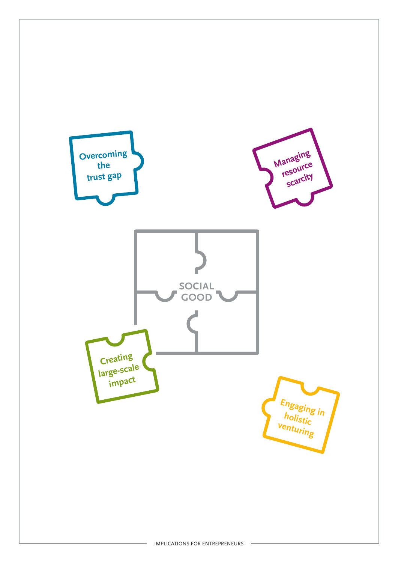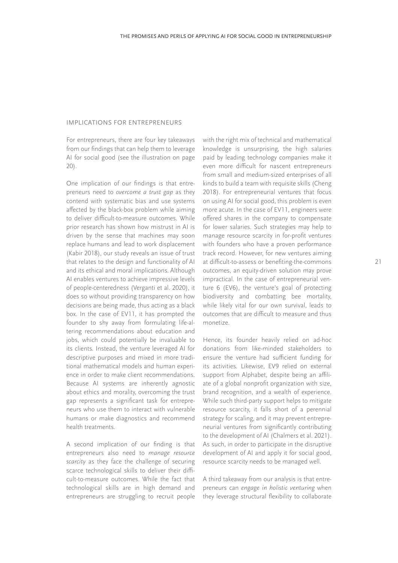### IMPLICATIONS FOR ENTREPRENEURS

For entrepreneurs, there are four key takeaways from our findings that can help them to leverage AI for social good (see the illustration on page 20).

One implication of our findings is that entrepreneurs need to overcome a trust gap as they contend with systematic bias and use systems affected by the black-box problem while aiming to deliver difficult-to-measure outcomes. While prior research has shown how mistrust in AI is driven by the sense that machines may soon replace humans and lead to work displacement (Kabir 2018), our study reveals an issue of trust that relates to the design and functionality of AI and its ethical and moral implications. Although AI enables ventures to achieve impressive levels of people-centeredness (Verganti et al. 2020), it does so without providing transparency on how decisions are being made, thus acting as a black box. In the case of EV11, it has prompted the founder to shy away from formulating life-altering recommendations about education and jobs, which could potentially be invaluable to its clients. Instead, the venture leveraged AI for descriptive purposes and mixed in more traditional mathematical models and human experience in order to make client recommendations. Because AI systems are inherently agnostic about ethics and morality, overcoming the trust gap represents a significant task for entrepreneurs who use them to interact with vulnerable humans or make diagnostics and recommend health treatments.

A second implication of our finding is that entrepreneurs also need to *manage resource*  scarcity as they face the challenge of securing scarce technological skills to deliver their difficult-to-measure outcomes. While the fact that technological skills are in high demand and entrepreneurs are struggling to recruit people

with the right mix of technical and mathematical knowledge is unsurprising, the high salaries paid by leading technology companies make it even more difficult for nascent entrepreneurs from small and medium-sized enterprises of all kinds to build a team with requisite skills (Cheng 2018). For entrepreneurial ventures that focus on using AI for social good, this problem is even more acute. In the case of EV11, engineers were offered shares in the company to compensate for lower salaries. Such strategies may help to manage resource scarcity in for-profit ventures with founders who have a proven performance track record. However, for new ventures aiming at difficult-to-assess or benefiting-the-commons outcomes, an equity-driven solution may prove impractical. In the case of entrepreneurial venture 6 (EV6), the venture's goal of protecting biodiversity and combatting bee mortality, while likely vital for our own survival, leads to outcomes that are difficult to measure and thus monetize.

Hence, its founder heavily relied on ad-hoc donations from like-minded stakeholders to ensure the venture had sufficient funding for its activities. Likewise, EV9 relied on external support from Alphabet, despite being an affiliate of a global nonprofit organization with size, brand recognition, and a wealth of experience. While such third-party support helps to mitigate resource scarcity, it falls short of a perennial strategy for scaling, and it may prevent entrepreneurial ventures from significantly contributing to the development of AI (Chalmers et al. 2021). As such, in order to participate in the disruptive development of AI and apply it for social good, resource scarcity needs to be managed well.

A third takeaway from our analysis is that entrepreneurs can engage in holistic venturing when they leverage structural flexibility to collaborate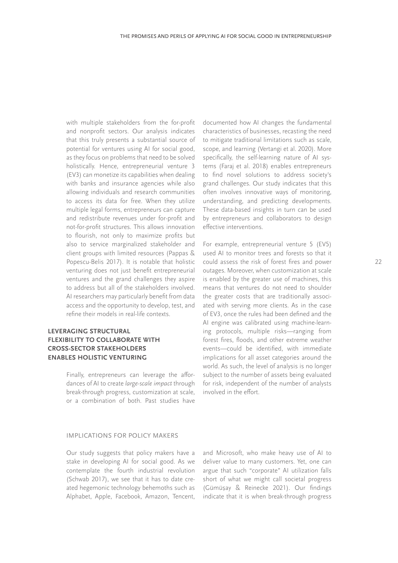with multiple stakeholders from the for-profit and nonprofit sectors. Our analysis indicates that this truly presents a substantial source of potential for ventures using AI for social good, as they focus on problems that need to be solved holistically. Hence, entrepreneurial venture 3 (EV3) can monetize its capabilities when dealing with banks and insurance agencies while also allowing individuals and research communities to access its data for free. When they utilize multiple legal forms, entrepreneurs can capture and redistribute revenues under for-profit and not-for-profit structures. This allows innovation to flourish, not only to maximize profits but also to service marginalized stakeholder and client groups with limited resources (Pappas & Popescu-Belis 2017). It is notable that holistic venturing does not just benefit entrepreneurial ventures and the grand challenges they aspire to address but all of the stakeholders involved. AI researchers may particularly benefit from data access and the opportunity to develop, test, and refine their models in real-life contexts.

### **LEVERAGING STRUCTURAL FLEXIBILITY TO COLLABORATE WITH CROSS-SECTOR STAKEHOLDERS ENABLES HOLISTIC VENTURING**

Finally, entrepreneurs can leverage the affordances of AI to create large-scale impact through break-through progress, customization at scale, or a combination of both. Past studies have documented how AI changes the fundamental characteristics of businesses, recasting the need to mitigate traditional limitations such as scale, scope, and learning (Vertangi et al. 2020). More specifically, the self-learning nature of AI systems (Faraj et al. 2018) enables entrepreneurs to find novel solutions to address society's grand challenges. Our study indicates that this often involves innovative ways of monitoring, understanding, and predicting developments. These data-based insights in turn can be used by entrepreneurs and collaborators to design effective interventions.

For example, entrepreneurial venture 5 (EV5) used AI to monitor trees and forests so that it could assess the risk of forest fires and power outages. Moreover, when customization at scale is enabled by the greater use of machines, this means that ventures do not need to shoulder the greater costs that are traditionally associated with serving more clients. As in the case of EV3, once the rules had been defined and the AI engine was calibrated using machine-learning protocols, multiple risks—ranging from forest fires, floods, and other extreme weather events—could be identified, with immediate implications for all asset categories around the world. As such, the level of analysis is no longer subject to the number of assets being evaluated for risk, independent of the number of analysts involved in the effort.

#### IMPLICATIONS FOR POLICY MAKERS

Our study suggests that policy makers have a stake in developing AI for social good. As we contemplate the fourth industrial revolution (Schwab 2017), we see that it has to date created hegemonic technology behemoths such as Alphabet, Apple, Facebook, Amazon, Tencent,

and Microsoft, who make heavy use of AI to deliver value to many customers. Yet, one can argue that such "corporate" AI utilization falls short of what we might call societal progress (Gümüsay & Reinecke 2021). Our findings ,indicate that it is when break-through progress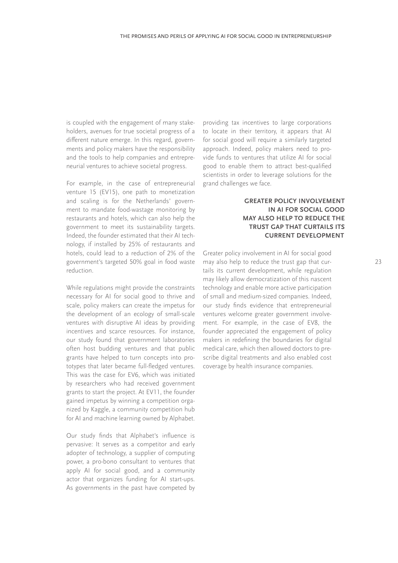is coupled with the engagement of many stakeholders, avenues for true societal progress of a different nature emerge. In this regard, governments and policy makers have the responsibility and the tools to help companies and entrepreneurial ventures to achieve societal progress.

For example, in the case of entrepreneurial venture 15 (EV15), one path to monetization and scaling is for the Netherlands' government to mandate food-wastage monitoring by restaurants and hotels, which can also help the government to meet its sustainability targets. Indeed, the founder estimated that their AI technology, if installed by 25% of restaurants and hotels, could lead to a reduction of 2% of the government's targeted 50% goal in food waste reduction.

While regulations might provide the constraints necessary for AI for social good to thrive and scale, policy makers can create the impetus for the development of an ecology of small-scale ventures with disruptive AI ideas by providing incentives and scarce resources. For instance, our study found that government laboratories often host budding ventures and that public grants have helped to turn concepts into prototypes that later became full-fledged ventures. This was the case for EV6, which was initiated by researchers who had received government grants to start the project. At EV11, the founder gained impetus by winning a competition organized by Kaggle, a community competition hub for AI and machine learning owned by Alphabet.

Our study finds that Alphabet's influence is pervasive: It serves as a competitor and early adopter of technology, a supplier of computing power, a pro-bono consultant to ventures that apply AI for social good, and a community actor that organizes funding for AI start-ups. As governments in the past have competed by

providing tax incentives to large corporations to locate in their territory, it appears that AI for social good will require a similarly targeted approach. Indeed, policy makers need to provide funds to ventures that utilize AI for social good to enable them to attract best-qualified scientists in order to leverage solutions for the grand challenges we face.

## **GREATER POLICY INVOLVEMENT IN AI FOR SOCIAL GOOD MAY ALSO HELP TO REDUCE THE TRUST GAP THAT CURTAILS ITS CURRENT DEVELOPMENT**

Greater policy involvement in AI for social good may also help to reduce the trust gap that curtails its current development, while regulation may likely allow democratization of this nascent technology and enable more active participation of small and medium-sized companies. Indeed, our study finds evidence that entrepreneurial ventures welcome greater government involvement. For example, in the case of EV8, the founder appreciated the engagement of policy makers in redefining the boundaries for digital medical care, which then allowed doctors to prescribe digital treatments and also enabled cost coverage by health insurance companies.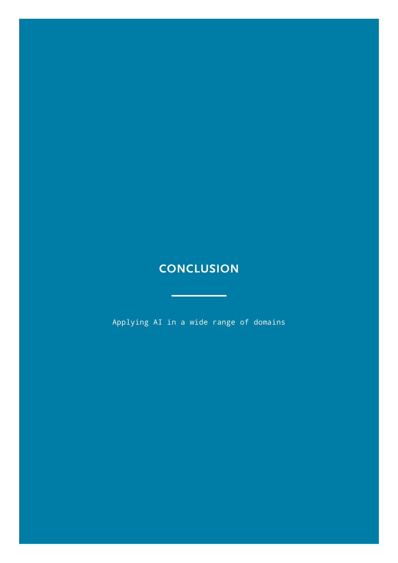# <span id="page-23-0"></span>**CONCLUSION**

ц.

<u> 1990 - Jan Barnett, fransk politiker</u>

Applying AI in a wide range of domains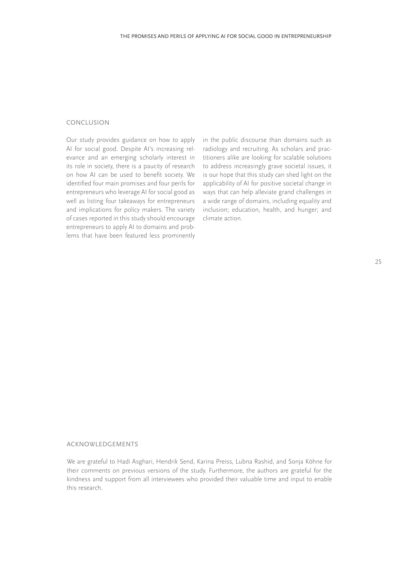### **CONCLUSION**

Our study provides guidance on how to apply AI for social good. Despite AI's increasing relevance and an emerging scholarly interest in its role in society, there is a paucity of research on how AI can be used to benefit society. We identified four main promises and four perils for entrepreneurs who leverage AI for social good as well as listing four takeaways for entrepreneurs and implications for policy makers. The variety of cases reported in this study should encourage entrepreneurs to apply AI to domains and problems that have been featured less prominently in the public discourse than domains such as radiology and recruiting. As scholars and practitioners alike are looking for scalable solutions to address increasingly grave societal issues, it is our hope that this study can shed light on the applicability of AI for positive societal change in ways that can help alleviate grand challenges in a wide range of domains, including equality and inclusion; education, health, and hunger; and climate action.

#### ACKNOWLEDGEMENTS

We are grateful to Hadi Asghari, Hendrik Send, Karina Preiss, Lubna Rashid, and Sonja Köhne for their comments on previous versions of the study. Furthermore, the authors are grateful for the kindness and support from all interviewees who provided their valuable time and input to enable this research.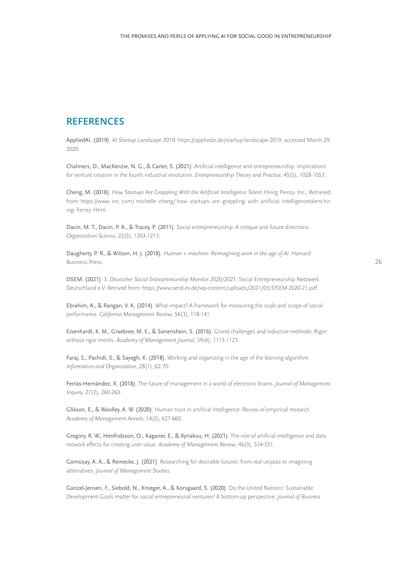# <span id="page-25-0"></span>**REFERENCES**

AppliedAI. (2019). AI Startup Landscape 2019. https://appliedai.de/startup-landscape-2019, accessed March 29, 2020.

Chalmers, D., MacKenzie, N. G., & Carter, S. (2021). Artificial intelligence and entrepreneurship: implications for venture creation in the fourth industrial revolution. Entrepreneurship Theory and Practice, 45(5), 1028-1053.

Cheng, M. (2018). How Startups Are Grappling With the Artificial Intelligence Talent Hiring Frenzy. Inc., Retrieved from: https://www. inc. com/ michelle- cheng/ how- startups- are- grappling- with- artificial- intelligencetalent-hiring- frenzy. Html.

Dacin, M. T., Dacin, P. A., & Tracey, P. (2011). Social entrepreneurship: A critique and future directions. Organization Science, 22(5), 1203-1213.

Daugherty, P. R., & Wilson, H. J. (2018). Human + machine: Reimagining work in the age of AI. Harvard Business Press.

DSEM. (2021). 3. Deutscher Social Entrepreneurship Monitor 2020/2021. Social Entrepreneurship Netzwerk Deutschland e.V. Retrived from: https://www.send-ev.de/wp-content/uploads/2021/03/DSEM-2020-21.pdf.

Ebrahim, A., & Rangan, V. K. (2014). What impact? A framework for measuring the scale and scope of social performance. California Management Review, 56(3), 118-141.

Eisenhardt, K. M., Graebner, M. E., & Sonenshein, S. (2016). Grand challenges and inductive methods: Rigor without rigor mortis. Academy of Management Journal, 59(4), 1113-1123.

Faraj, S., Pachidi, S., & Sayegh, K. (2018). Working and organizing in the age of the learning algorithm. Information and Organization, 28(1), 62-70.

Ferràs-Hernández, X. (2018). The future of management in a world of electronic brains. Journal of Management Inquiry, 27(2), 260-263.

Glikson, E., & Woolley, A. W. (2020). Human trust in artificial intelligence: Review of empirical research. Academy of Management Annals, 14(2), 627-660.

Gregory, R. W., Henfridsson, O., Kaganer, E., & Kyriakou, H. (2021). The role of artificial intelligence and data network effects for creating user value. Academy of Management Review, 46(3), 534-551.

Gümüşay, A. A., & Reinecke, J. (2021). Researching for desirable futures: from real utopias to imagining alternatives. Journal of Management Studies.

Günzel-Jensen, F., Siebold, N., Kroeger, A., & Korsgaard, S. (2020). Do the United Nations' Sustainable Development Goals matter for social entrepreneurial ventures? A bottom-up perspective. Journal of Business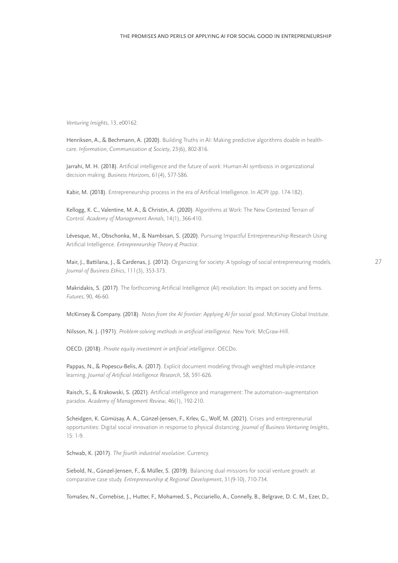Venturing Insights, 13, e00162.

Henriksen, A., & Bechmann, A. (2020). Building Truths in AI: Making predictive algorithms doable in healthcare. Information, Communication & Society, 23(6), 802-816.

Jarrahi, M. H. (2018). Artificial intelligence and the future of work: Human-AI symbiosis in organizational decision making. Business Horizons, 61(4), 577-586.

Kabir, M. (2018). Entrepreneurship process in the era of Artificial Intelligence. In ACPI (pp. 174-182).

Kellogg, K. C., Valentine, M. A., & Christin, A. (2020). Algorithms at Work: The New Contested Terrain of Control. Academy of Management Annals, 14(1), 366-410.

Lévesque, M., Obschonka, M., & Nambisan, S. (2020). Pursuing Impactful Entrepreneurship Research Using Artificial Intelligence. Entrepreneurship Theory & Practice.

Mair, J., Battilana, J., & Cardenas, J. (2012). Organizing for society: A typology of social entrepreneuring models. Journal of Business Ethics, 111(3), 353-373.

Makridakis, S. (2017). The forthcoming Artificial Intelligence (AI) revolution: Its impact on society and firms. Futures, 90, 46-60.

McKinsey & Company. (2018). Notes from the AI frontier: Applying AI for social good. McKinsey Global Institute.

Nilsson, N. J. (1971). Problem-solving methods in artificial intelligence. New York: McGraw-Hill.

OECD. (2018). Private equity investment in artificial intelligence. OECDo.

Pappas, N., & Popescu-Belis, A. (2017). Explicit document modeling through weighted multiple-instance learning. Journal of Artificial Intelligence Research, 58, 591-626.

Raisch, S., & Krakowski, S. (2021). Artificial intelligence and management: The automation–augmentation paradox. Academy of Management Review, 46(1), 192-210.

Scheidgen, K. Gümüsay, A. A., Günzel-Jensen, F., Krlev, G., Wolf, M. (2021). Crises and entrepreneurial ,opportunities: Digital social innovation in response to physical distancing. Journal of Business Venturing Insights, 15: 1-9.

Schwab, K. (2017). The fourth industrial revolution. Currency.

Siebold, N., Günzel-Jensen, F., & Müller, S. (2019). Balancing dual missions for social venture growth: at comparative case study. Entrepreneurship & Regional Development, 31(9-10), 710-734.

Tomašev, N., Cornebise, J., Hutter, F., Mohamed, S., Picciariello, A., Connelly, B., Belgrave, D. C. M., Ezer, D.,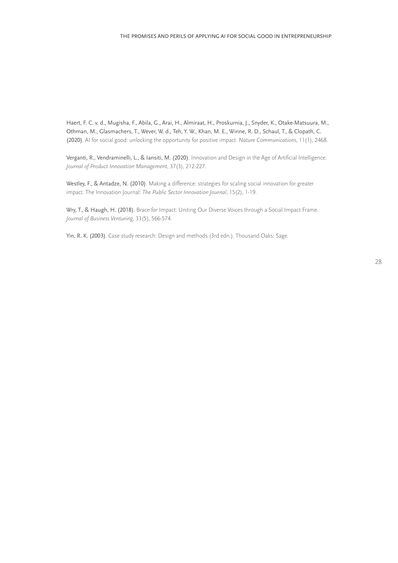Haert, F. C. v. d., Mugisha, F., Abila, G., Arai, H., Almiraat, H., Proskurnia, J., Snyder, K., Otake-Matsuura, M., Othman, M., Glasmachers, T., Wever, W. d., Teh, Y. W., Khan, M. E., Winne, R. D., Schaul, T., & Clopath, C. (2020). AI for social good: unlocking the opportunity for positive impact. Nature Communications, 11(1), 2468.

Verganti, R., Vendraminelli, L., & Iansiti, M. (2020). Innovation and Design in the Age of Artificial Intelligence. Journal of Product Innovation Management, 37(3), 212-227.

Westley, F., & Antadze, N. (2010). Making a difference: strategies for scaling social innovation for greater impact. The Innovation Journal: The Public Sector Innovation Journal, 15(2), 1-19.

Wry, T., & Haugh, H. (2018). Brace for Impact: Uniting Our Diverse Voices through a Social Impact Frame. Journal of Business Venturing, 33(5), 566-574.

Yin, R. K. (2003). Case study research: Design and methods (3rd edn.). Thousand Oaks: Sage.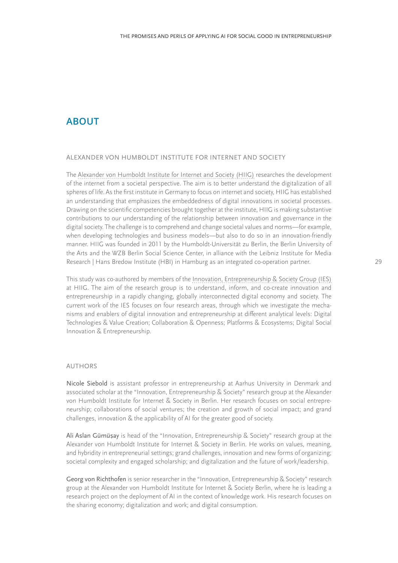# <span id="page-28-0"></span>**ABOUT**

### ALEXANDER VON HUMBOLDT INSTITUTE FOR INTERNET AND SOCIETY

The [Alexander von Humboldt Institute for Internet and Society \(HIIG\)](www.hiig.de) researches the development of the internet from a societal perspective. The aim is to better understand the digitalization of all spheres of life. As the first institute in Germany to focus on internet and society, HIIG has established an understanding that emphasizes the embeddedness of digital innovations in societal processes. Drawing on the scientific competencies brought together at the institute, HIIG is making substantive contributions to our understanding of the relationship between innovation and governance in the digital society. The challenge is to comprehend and change societal values and norms—for example, when developing technologies and business models—but also to do so in an innovation-friendly manner. HIIG was founded in 2011 by the Humboldt-Universität zu Berlin, the Berlin University of the Arts and the WZB Berlin Social Science Center, in alliance with the Leibniz Institute for Media Research | Hans Bredow Institute (HBI) in Hamburg as an integrated co-operation partner.

This study was co-authored by members of the [Innovation, Entrepreneurship & Society Group \(IES\)](https://www.hiig.de/research/innovation-und-entrepreneurship/) at HIIG. The aim of the research group is to understand, inform, and co-create innovation and entrepreneurship in a rapidly changing, globally interconnected digital economy and society. The current work of the IES focuses on four research areas, through which we investigate the mechanisms and enablers of digital innovation and entrepreneurship at different analytical levels: Digital Technologies & Value Creation; Collaboration & Openness; Platforms & Ecosystems; Digital Social Innovation & Entrepreneurship.

### AUTHORS

Nicole Siebold is assistant professor in entrepreneurship at Aarhus University in Denmark and associated scholar at the "Innovation, Entrepreneurship & Society" research group at the Alexander von Humboldt Institute for Internet & Society in Berlin. Her research focuses on social entrepreneurship; collaborations of social ventures; the creation and growth of social impact; and grand challenges, innovation & the applicability of AI for the greater good of society.

, Ali Aslan Gümüsay is head of the "Innovation, Entrepreneurship & Society" research group at the Alexander von Humboldt Institute for Internet & Society in Berlin. He works on values, meaning, and hybridity in entrepreneurial settings; grand challenges, innovation and new forms of organizing; societal complexity and engaged scholarship; and digitalization and the future of work/leadership.

Georg von Richthofen is senior researcher in the "Innovation, Entrepreneurship & Society" research group at the Alexander von Humboldt Institute for Internet & Society Berlin, where he is leading a research project on the deployment of AI in the context of knowledge work. His research focuses on the sharing economy; digitalization and work; and digital consumption.